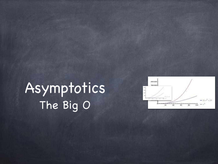# Asymptotics The Big O

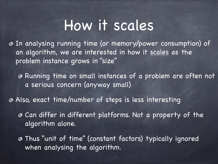### How it scales

In analysing running time (or memory/power consumption) of an algorithm, we are interested in how it scales as the problem instance grows in "size"

Running time on small instances of a problem are often not a serious concern (anyway small)

Also, exact time/number of steps is less interesting

- Can differ in different platforms. Not a property of the algorithm alone.
- Thus "unit of time" (constant factors) typically ignored when analysing the algorithm.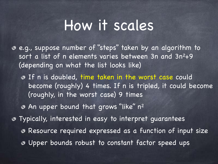#### How it scales

- e.g., suppose number of "steps" taken by an algorithm to sort a list of n elements varies between 3n and 3n<sup>2</sup>+9 (depending on what the list looks like)
	- **O** If n is doubled, time taken in the worst case could become (roughly) 4 times. If n is tripled, it could become (roughly, in the worst case) 9 times
	- An upper bound that grows "like" n<sup>2</sup>
- Typically, interested in easy to interpret guarantees Resource required expressed as a function of input size Upper bounds robust to constant factor speed ups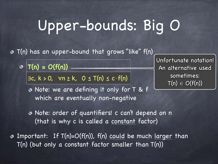# Upper-bounds: Big O

T(n) has an upper-bound that grows "like" f(n) ◈

**T(n) = O(f(n))**  $\circledcirc$ 

 $\exists c, k > 0, \forall n \ge k, 0 \le T(n) \le c \cdot f(n)$ 

Unfortunate notation! An alternative used sometimes:  $T(n) \in O(f(n))$ 

Note: we are defining it only for T & f which are eventually non-negative

Note: order of quantifiers! c can't depend on n (that is why c is called a constant factor)

Important: If T(n)=O(f(n)), f(n) could be much larger than T(n) (but only a constant factor smaller than T(n))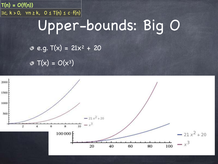### **T(n) = O(f(n))**  $\big|\exists$ c, k > 0,  $\forall$ n <u>></u> k, 0 ≤ T(n) ≤ c·f(n) $\big|$ Upper-bounds: Big O

 $e. g. T(x) = 21x^2 + 20$ 

 $\sigma$  T(x) = O(x<sup>3</sup>)

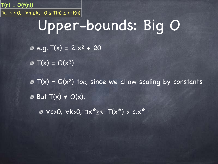#### $\vert \exists c, k > 0, \forall n \ge k, 0 \le T(n) \le c \cdot f(n) \vert$ Upper-bounds: Big O

 $e. q. T(x) = 21x^2 + 20$ 

 $\mathfrak{S}$  T(x) =  $O(x^3)$ 

**T(n) = O(f(n))**

 $\sigma$  T(x) = O(x<sup>2</sup>) too, since we allow scaling by constants  $\bullet$  But T(x)  $\neq$  O(x).

∀c>0, ∀k>0, ∃x\*≥k T(x\*) > c.x\*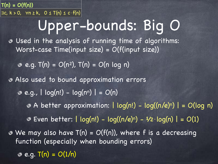Used in the analysis of running time of algorithms: Worst-case Time(input size) = O(f(input size))  $e. q. T(n) = O(n^2)$ ,  $T(n) = O(n \log n)$ Also used to bound approximation errors  $e. q.$ ,  $\log(n!) - \log(n^n) = O(n)$  $\bullet$  A better approximation:  $|log(n!) - log(n/e)^n| = O(log(n)$ Even better: | log(n!) - log((n/e)n) - ½⋅log(n) | = O(1)  $\bullet$  We may also have T(n) = O(f(n)), where f is a decreasing function (especially when bounding errors)  $\overline{\circ}$  e.g.  $T(n) = O(1/n)$ **T(n) = O(f(n))**  $\vert \exists c, k > 0, \forall n \ge k, 0 \le T(n) \le c \cdot f(n) \vert$ Upper-bounds: Big O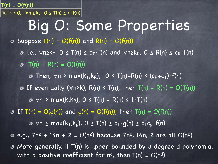Big O: Some Properties **3** Suppose  $T(n) = O(f(n))$  and  $R(n) = O(f(n))$ **3** i.e.,  $\forall n \geq k_T$ ,  $0 \leq T(n) \leq c_T \cdot f(n)$  and  $\forall n \geq k_R$ ,  $0 \leq R(n) \leq c_R \cdot f(n)$  $\Phi$  T(n) + R(n) = O(f(n)) • Then,  $\forall n \geq max(k_{T},k_{R})$ , 0 ≤ T(n)+R(n) ≤ (c<sub>R</sub>+c<sub>T</sub>)·f(n) **O** If eventually ( $\forall n \ge k$ ), R(n)  $\le T(n)$ , then T(n) - R(n) = O(T(n))  $\bullet$   $\forall n \geq max(k, k_R)$ ,  $0 \leq T(n) - R(n) \leq 1 \cdot T(n)$  $\circ$  If T(n) = O(g(n)) and g(n) = O(f(n)), then T(n) = O(f(n))  $\bullet$   $\forall n \geq max(k_{T}, k_{q})$ ,  $0 \leq T(n) \leq c_{T} \cdot g(n) \leq c_{T} c_{q} \cdot f(n)$ **e.g.,**  $7n^2 + 14n + 2 = O(n^2)$  **because**  $7n^2$ **, 14n, 2 are all**  $O(n^2)$ More generally, if T(n) is upper-bounded by a degree d polynomial with a positive coefficient for  $n^d$ , then  $T(n) = O(n^d)$ **T(n) = O(f(n))**  $\big|\exists c,~k>0,~~\forall n\geq k,~~0\leq T(n)\leq c\cdot f(n)\big|$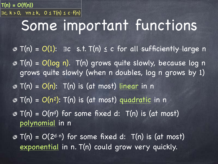Some important functions T(n) = O(1): ∃c s.t. T(n) ≤ c for all sufficiently large n T(n) = O(log n). T(n) grows quite slowly, because log n grows quite slowly (when n doubles, log n grows by 1)  $\sigma$  T(n) = O(n): T(n) is (at most) linear in n  $\sigma$  T(n) = O(n<sup>2</sup>): T(n) is (at most) quadratic in n  $\sigma$  T(n) = O(n<sup>d</sup>) for some fixed d: T(n) is (at most) polynomial in n  $\sigma$  T(n) = O(2<sup>d⋅n</sup>) for some fixed d: T(n) is (at most) **T(n) = O(f(n))**  $\exists c, k > 0, \forall n \ge k, 0 \le T(n) \le c \cdot f(n)$ 

exponential in n. T(n) could grow very quickly.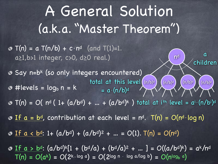A General Solution (a.k.a. "Master Theorem")  $\sigma$  T(n) = a T(n/b) + c·n<sup>d</sup> (and T(1)=1. a≥1,b>1 integer, c>0, d≥0 real.)  $\bullet$  Say n=b<sup>k</sup> (so only integers encountered)  $\odot$  #levels = log<sub>b</sub>  $n = k$  $T(n) = O(|n^d (1 + (a/b^d) + ... + (a/b^d)k|)$  total at i<sup>th</sup> level =  $a^i \cdot (n/b^i)^d$ If a = bd, contribution at each level = nd. T(n) = O(nd⋅log n) If a < bd: 1+ (a/bd) + (a/bd) <sup>2</sup> + … = O(1). T(n) = O(nd) If a > bd: (a/bd) <sup>k</sup>[1 + (bd/a) + (bd/a)2 + … ] = O((a/bd) <sup>k</sup>) = ak/n<sup>d</sup>  $T(n) = O(a^k) = O(2^{k \cdot \log a}) = O(2^{\log n} \cdot \log a / \log b) = O(n^{\log_b a})$ nd a children total at this level  $(n/b)^d$   $(n/b)^d$   $(n/b)^d$   $(n/b)^d$  $(n/b)^d$   $(n/b)^d$  $= a \cdot (n/b)^d$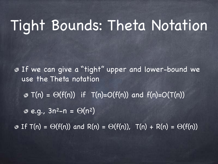### Tight Bounds: Theta Notation

If we can give a "tight" upper and lower-bound we use the Theta notation

 $\sigma$  T(n) =  $\Theta(f(n))$  if T(n)= $O(f(n))$  and  $f(n)=O(T(n))$ 

 $\bullet$  e.g.,  $3n^2-n = \Theta(n^2)$ 

 $\odot$  If T(n) =  $\odot$ (f(n)) and R(n) =  $\odot$ (f(n)), T(n) + R(n) =  $\odot$ (f(n))